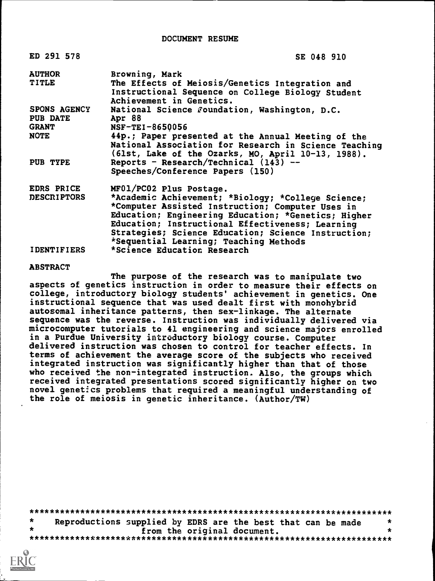DOCUMENT RESUME

| ED 291 578         | SE 048 910                                            |
|--------------------|-------------------------------------------------------|
| <b>AUTHOR</b>      | Browning, Mark                                        |
| TITLE              | The Effects of Meiosis/Genetics Integration and       |
|                    | Instructional Sequence on College Biology Student     |
|                    | Achievement in Genetics.                              |
| SPONS AGENCY       | National Science Foundation, Washington, D.C.         |
| <b>PUB DATE</b>    | Apr 88                                                |
| <b>GRANT</b>       | $NSF-TEI-8650056$                                     |
| <b>NOTE</b>        | 44p.; Paper presented at the Annual Meeting of the    |
|                    | National Association for Research in Science Teaching |
|                    | (61st, Lake of the Ozarks, MO, April 10-13, 1988).    |
| PUB TYPE           | Reports - Research/Technical $(143)$ --               |
|                    | Speeches/Conference Papers (150)                      |
| EDRS PRICE         | MF01/PC02 Plus Postage.                               |
| <b>DESCRIPTORS</b> | *Academic Achievement; *Biology; *College Science;    |
|                    | *Computer Assisted Instruction; Computer Uses in      |
|                    | Education; Engineering Education; *Genetics; Higher   |
|                    | Education; Instructional Effectiveness; Learning      |
|                    | Strategies; Science Education; Science Instruction;   |
|                    | *Sequential Learning; Teaching Methods                |
| <b>IDENTIFIERS</b> | *Science Education Research                           |

#### ABSTRACT

The purpose of the research was to manipulate two aspects of genetics instruction in order to measure their effects on college, introductory biology students' achievement in genetics. One instructional sequence that was used dealt first with monohybrid autosomal inheritance patterns, then sex-linkage. The alternate sequence was the reverse. Instruction was individually delivered via microcomputer tutorials to 41 engineering and science majors enrolled in a Purdue University introductory biology course. Computer delivered instruction was chosen to control for teacher effects. In terms of achievement the average score of the subjects who received integrated instruction was significantly higher than that of those who received the non-integrated instruction. Also, the groups which received integrated presentations scored significantly higher on two novel genetics problems that required a meaningful understanding of the role of meiosis in genetic inheritance. (Author/TW)

\*\*\*\*\*\*\*\*\*\*\*\*\*\*\*\*\*\*\*\*\*\*\*\*\*\*\*\*\*\*\*\*\*\*\*\*\*\*\*\*\*\*\*\*\*\*\*\*\*\*\*\*\*\*\*\*\*\*\*\*\*\*\*\*\*\*\*\*\*\*\*  $\star$ Reproductions supplied by EDRS are the best that can be made  $*$ <br>from the original document. from the original document. \*\*\*\*\*\*\*\*\*\*\*\*\*\*\*\*\*\*\*\*\*\*\*\*\*\*\*\*\*\*\*\*\*\*\*\*\*\*\*\*\*\*\*\*\*\*\*\*\*\*\*\*\*\*\*\*\*\*\*\*\*\*\*\*\*\*\*\*\*\*\*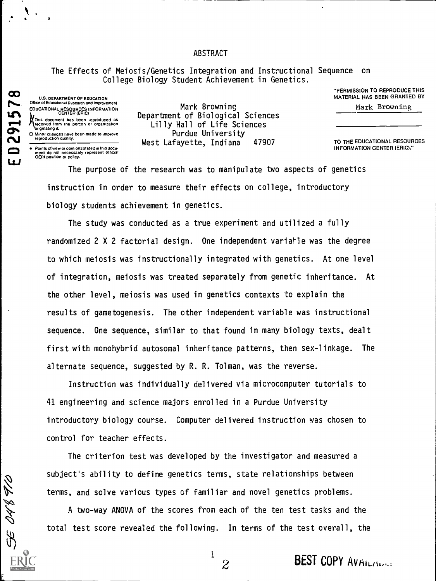#### ABSTRACT

The Effects of Meiosis/Genetics Integration and Instructional Sequence on College Biology Student Achievement in Genetics.

> "PERMISSION TO REPRODUCE THIS MATERIAL HAS BEEN GRANTED BY

Mark Browning

TO THE EDUCATIONAL RESOURCES INFORMATION CENTER (ERIC)."

U.S. DEPARTMENT OF EDUCATION<br>Office of Educational Research and Improvement EDUCATIONAL RESOURCES INFORMATION LA )<br>A This document has been reproduced as<br>Received from the person or organization **Calculation**<br>C. Minor changes have been made to improve

 $\mathbf{v}$ 

 $\mathbf{u}$ 

SE O48 F/O

Mark Browning Department of Biological Sciences Lilly Hall of Life Sciences Purdue University West Lafayette, Indiana 47907

Mare production quality.<br>
Points of view or opinions: stated in this docu-<br>
Ment do not necessarily represent Official<br>
OERI position or policy.

The purpose of the research was to manipulate two aspects of genetics instruction in order to measure their effects on college, introductory biology students achievement in genetics.

The study was conducted as a true experiment and utilized a fully randomized 2 X 2 factorial design. One independent variable was the degree to which meiosis was instructionally integrated with genetics. At one level of integration, meiosis was treated separately from genetic inheritance. At the other level, meiosis was used in genetics contexts to explain the results of gametogenesis. The other independent variable was instructional sequence. One sequence, similar to that found in many biology texts, dealt first with monohybrid autosomal inheritance patterns, then sex-linkage. The alternate sequence, suggested by R. R. Tolman, was the reverse.

Instruction was individually delivered via microcomputer tutorials to 41 engineering and science majors enrolled in a Purdue University introductory biology course. Computer delivered instruction was chosen to control for teacher effects.

The criterion test was developed by the investigator and measured a subject's ability to define genetics terms, state relationships between terms, and solve various types of familiar and novel genetics problems.

A two-way ANOVA of the scores from each of the ten test tasks and the total test score revealed the following. In terms of the test overall, the

 $\begin{smallmatrix}1\1\2\end{smallmatrix}$ 

 $2\overline{2}$ 

BEST COPY AVAILINGS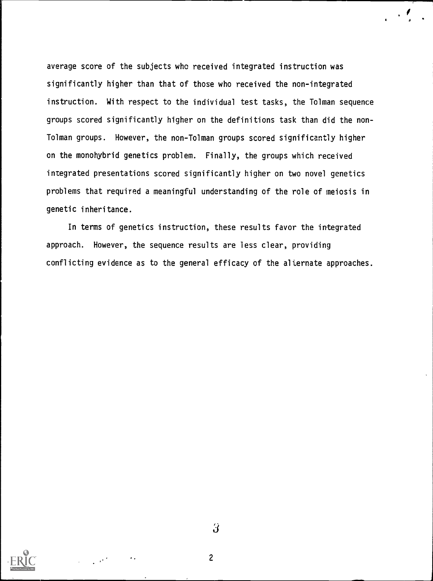average score of the subjects whc received integrated instruction was significantly higher than that of those who received the non-integrated instruction. With respect to the individual test tas s, the Tolman sequence groups scored significantly higher on the definitions task than did the nonlolman groups. However, the non-Tolman groups scored significantly higher on the monohybrid genetics problem. Finally, the groups hich received integrated presentations scored significantly higher on two novel genetics problems that required a meaningful understanding of the rol e of meiosis in genetic inheritance.

r

In terms of genetics instruction, these results favor the integrated approach. However, the sequence results are less clear, providing conflicting evidence as to the general efficacy of the alternate a pproaches.



 $\overline{\mathbf{3}}$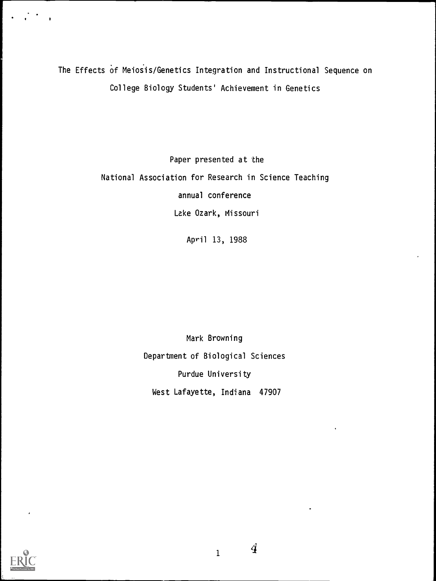The Effects of Meiosis/Genetics Integration and Instructional Sequence on College Biology Students' Achievement in Genetics

> Paper presented at the National Association for Research in Science Teaching annual conference Lake Ozark, Missouri

> > April 13, 1988

Mark Browning Department of Biological Sciences Purdue University West Lafayette, Indiana 47907



 $_1$  4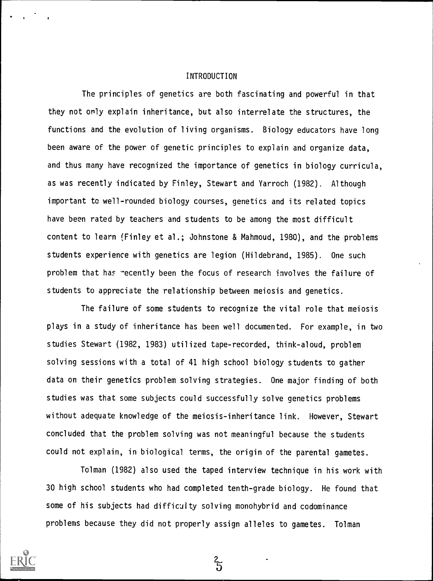#### INTRODUCTION

The principles of genetics are both fascinating and powerful in that they not only explain inheritance, but also interrelate the structures, the functions and the evolution of living organisms. Biology educators have long been aware of the power of genetic principles to explain and organize data, and thus many have recognized the importance of genetics in biology curricula, as was recently indicated by Finley, Stewart and Yarroch (1982). Although important to well-rounded biology courses, genetics and its related topics have been rated by teachers and students to be among the most difficult content to learn (Finley et al.; Johnstone & Mahmoud, 1980), and the problems students experience with genetics are legion (Hildebrand, 1985). One such problem that has recently been the focus of research involves the failure of students to appreciate the relationship between meiosis and genetics.

The failure of some students to recognize the vital role that meiosis plays in a study of inheritance has been well documented. For example, in two studies Stewart (1982, 1983) utilized tape-recorded, think-aloud, problem solving sessions with a total of 41 high school biology students to gather data on their genetics problem solving strategies. One major finding of both studies was that some subjects could successfully solve genetics problems without adequate knowledge of the meiosis-inheritance link. However, Stewart concluded that the problem solving was not meaningful because the students could not explain, in biological terms, the origin of the parental gametes.

Tolman (1982) also used the taped interview technique in his work with 30 high school students who had completed tenth-grade biology. He found that some of his subjects had difficulty solving monohybrid and codominance problems because they did not properly assign alleles to gametes. Tolman

 $\frac{2}{5}$ 

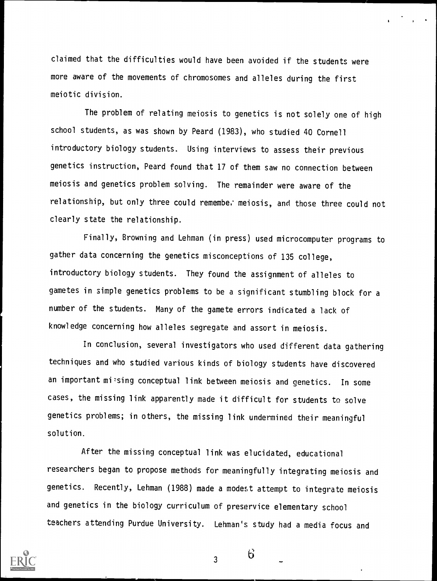claimed that the difficulties would have been avoided if the students were more aware of the movements of chromosomes and alleles during the first meiotic division.

The problem of relating meiosis to genetics is not solely one of high school students, as was shown by Peard (1983), who studied 40 Cornell introductory biology students. Using interviews to assess their previous genetics instruction, Peard found that 17 of them saw no connection between meiosis and genetics problem solving. The remainder were aware of the relationship, but only three could remembe. meiosis, and those three could not clearly state the relationship.

Finally, Browning and Lehman (in press) used microcomputer programs to gather data concerning the genetics misconceptions of 135 college, introductory biology students. They found the assignment of alleles to gametes in simple genetics problems to be a significant stumbling block for a number of the students. Many of the gamete errors indicated a lack of knowledge concerning how alleles segregate and assort in meiosis.

In conclusion, several investigators who used different data gathering techniques and who studied various kinds of biology students have discovered an important missing conceptual link between meiosis and genetics. In some cases, the missing link apparently made it difficult for students to solve genetics problems; in others, the missing link undermined their meaningful solution.

After the missing conceptual link was elucidated, educational researchers began to propose methods for meaningfully integrating meiosis and genetics. Recently, Lehman (1988) made a modest attempt to integrate meiosis and genetics in the biology curriculum of preservice elementary school teachers attending Purdue University. Lehman's study had a media focus and



3 \_

 $\sigma$  gives the set of  $\sigma$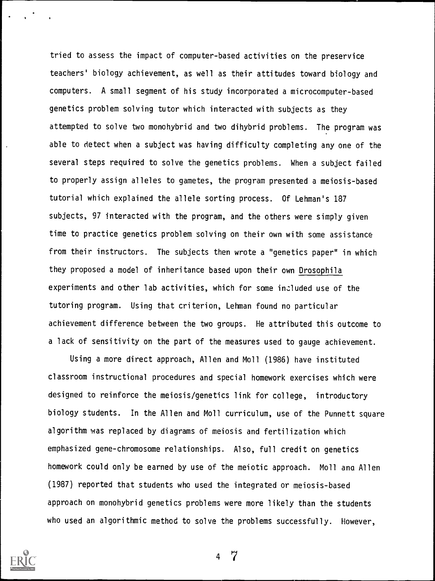tried to assess the impact of computer-based activities on the preservice teachers' biology achievement, as well as their attitudes toward biology and computers. A small segment of his study incorporated a microcomputer-based genetics problem solving tutor which interacted with subjects as they attempted to solve two monohybrid and two dihybrid problems. The program was able to detect when a subject was having difficulty completing any one of the several steps required to solve the genetics problems. When a subject failed to properly assign alleles to gametes, the program presented a meiosis-based tutorial which explained the allele sorting process. Of Lehman's 187 subjects, 97 interacted with the program, and the others were simply given time to practice genetics problem solving on their own with some assistance from their instructors. The subjects then wrote a "genetics paper" in which they proposed a model of inheritance based upon their own Drosophila experiments and other lab activities, which for some included use of the tutoring program. Using that criterion, Lehman found no particular achievement difference between the two groups. He attributed this outcome to a lack of sensitivity on the part of the measures used to gauge achievement.

Using a more direct approach, Allen and Moll (1986) have instituted classroom instructional procedures and special homework exercises which were designed to reinforce the meiosis/genetics link for college, introductory biology students. In the Allen and Moll curriculum, use of the Punnett square algorithm was replaced by diagrams of meiosis and fertilization which emphasized gene-chromosome relationships. Also, full credit on genetics homework could only be earned by use of the meiotic approach. Moll ana Allen (1987) reported that students who used the integrated or meiosis-based approach on monohybrid genetics problems were more likely than the students who used an algorithmic method to solve the problems successfully. However,

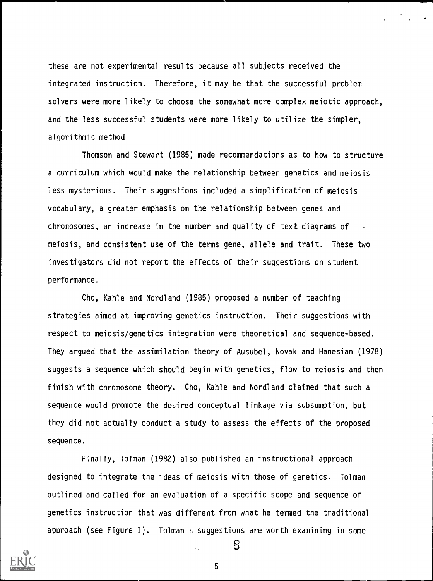these are not experimental results because all subjects received the integrated instruction. Therefore, it may be that the successful problem solvers were more likely to choose the somewhat more complex meiotic approach, and the less successful students were more likely to utilize the simpler, algorithmic method.

Thomson and Stewart (1985) made recommendations as to how to structure a curriculum which would make the relationship between genetics and meiosis less mysterious. Their suggestions included a simplification of meiosis vocabulary, a greater emphasis on the relationship between genes and chromosomes, an increase in the number and quality of text diagrams of meiosis, and consistent use of the terms gene, allele and trait. These two investigators did not report the effects of their suggestions on student performance.

Cho, Kahle and Nordland (1985) proposed a number of teaching strategies aimed at improving genetics instruction. Their suggestions with respect to meiosis/genetics integration were theoretical and sequence-based. They argued that the assimilation theory of Ausubel, Novak and Hanesian (1978) suggests a sequence which should begin with genetics, flow to meiosis and then finish with chromosome theory. Cho, Kahle and Nordland claimed that such a sequence would promote the desired conceptual linkage via subsumption, but they did not actually conduct a study to assess the effects of the proposed sequence.

F'snally, Tolman (1982) also published an instructional approach designed to integrate the ideas of meiosis with those of genetics. Tolman outlined and called for an evaluation of a specific scope and sequence of genetics instruction that was different from what he termed the traditional approach (see Figure 1). Tolman's suggestions are worth examining in some



5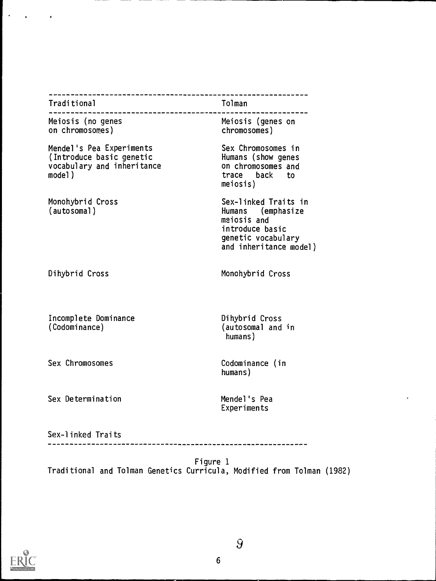| Traditional                                                                                  | Tolman                                                                                                                      |
|----------------------------------------------------------------------------------------------|-----------------------------------------------------------------------------------------------------------------------------|
| Meiosis (no genes<br>on chromosomes)                                                         | Meiosis (genes on<br>chromosomes)                                                                                           |
| Mendel's Pea Experiments<br>(Introduce basic genetic<br>vocabulary and inheritance<br>model) | Sex Chromosomes in<br>Humans (show genes<br>on chromosomes and<br>trace back<br>to<br>meiosis)                              |
| Monohybrid Cross<br>(autosomal)                                                              | Sex-linked Traits in<br>Humans (emphasize<br>meiosis and<br>introduce basic<br>genetic vocabulary<br>and inheritance model) |
| Dihybrid Cross                                                                               | Monohybrid Cross                                                                                                            |
| Incomplete Dominance<br>(Codominance)                                                        | Dihybrid Cross<br>(autosomal and in<br>humans)                                                                              |
| Sex Chromosomes                                                                              | Codominance (in<br>humans)                                                                                                  |
| Sex Determination                                                                            | Mendel's Pea<br>Experiments                                                                                                 |
| Sex-linked Traits                                                                            |                                                                                                                             |



 $\bar{\mathcal{A}}$ 

 $\bullet$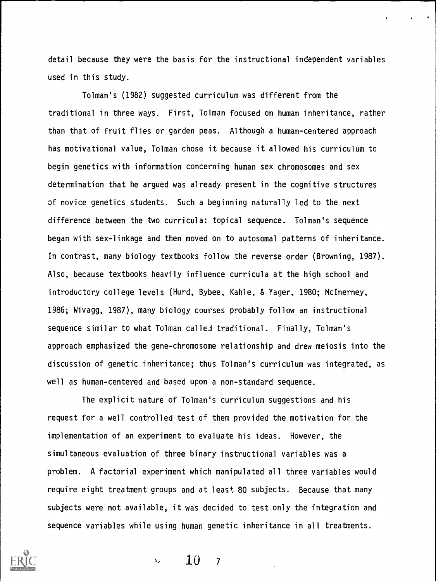detail because they were the basis for the instructional independent variables used in this study.

Tolman's (1982) suggested curriculum was different from the traditional in three ways. First, Tolman focused on human inheritance, rather than that of fruit flies or garden peas. Although a human-centered approach has motivational value, Tolman chose it because it allowed his curriculum to begin genetics with information concerning human sex chromosomes and sex determination that he argued was already present in the cognitive structures of novice genetics students. Such a beginning naturally led to the next difference between the two curricula: topical sequence. Tolman's sequence began with sex-linkage and then moved on to autosomal patterns of inheritance. In contrast, many biology textbooks follow the reverse order (Browning, 1987). Also, because textbooks heavily influence curricula at the high school and introductory college levels (Hurd, Bybee, Kahle, & Yager, 1980; McInerney, 1986; Wivagg, 1987), many biology courses probably follow an instructional sequence similar to what Tolman called traditional. Finally, Tolman's approach emphasized the gene-chromosome relationship and drew meiosis into the discussion of genetic inheritance; thus Tolman's curriculum was integrated, as well as human-centered and based upon a non-standard sequence.

The explicit nature of Tolman's curriculum suggestions and his request for a well controlled test of them provided the motivation for the implementation of an experiment to evaluate his ideas. However, the simultaneous evaluation of three binary instructional variables was a problem. A factorial experiment which manipulated all three variables would require eight treatment groups and at least 80 subjects. Because that many subjects were not available, it was decided to test only the integration and sequence variables while using human genetic inheritance in all treatments.



10  $\chi_{\rm{p}}$  $\overline{7}$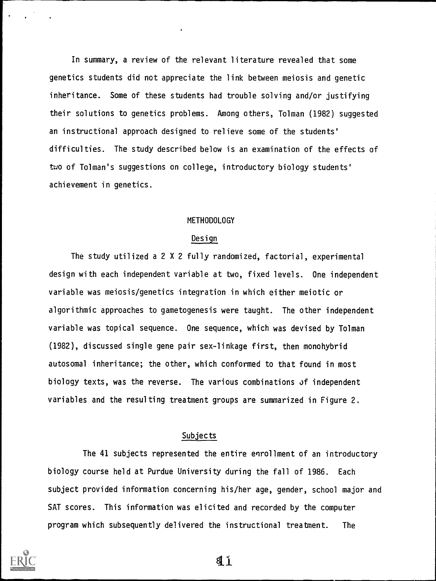In summary, a review of the relevant literature revealed that some genetics students did not appreciate the link between meiosis and genetic inheritance. Some of these students had trouble solving and/or justifying their solutions to genetics problems. Among others, Tolman (1982) suggested an instructional approach designed to relieve some of the students' difficulties. The study described below is an examination of the effects of two of Tolman's suggestions on college, introductory biology students' achievement in genetics.

## METHODOLOGY

#### Design

The study utilized a 2 X 2 fully randomized, factorial, experimental design with each independent variable at two, fixed levels. One independent variable was meiosis/genetics integration in which either meiotic or algorithmic approaches to gametogenesis were taught. The other independent variable was topical sequence. One sequence, which was devised by Tolman (1982), discussed single gene pair sex-linkage first, then monohybrid autosomal inheritance; the other, which conformed to that found in most biology texts, was the reverse. The various combinations of independent variables and the resulting treatment groups are summarized in Figure 2.

# Subjects

The 41 subjects represented the entire enrollment of an introductory biology course held at Purdue University during the fall of 1986. Each subject provided information concerning his/her age, gender, school major and SAT scores. This information was elicited and recorded by the computer program which subsequently delivered the instructional treatment. The



11.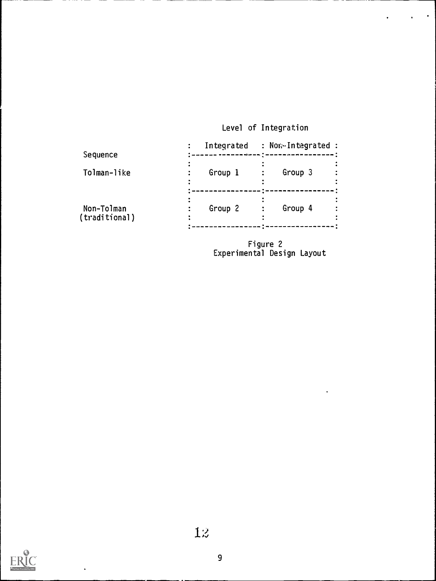# Level of Integration

 $\ddot{\phantom{0}}$ 

| Group 3<br>Group 1<br>Group 4<br>Group 2 | Sequence                    | Integrated | : Nor Integrated : |
|------------------------------------------|-----------------------------|------------|--------------------|
|                                          | Tolman-like                 |            |                    |
|                                          | Non-Tolman<br>(traditional) |            |                    |

Figure 2 Experimental Design Layout

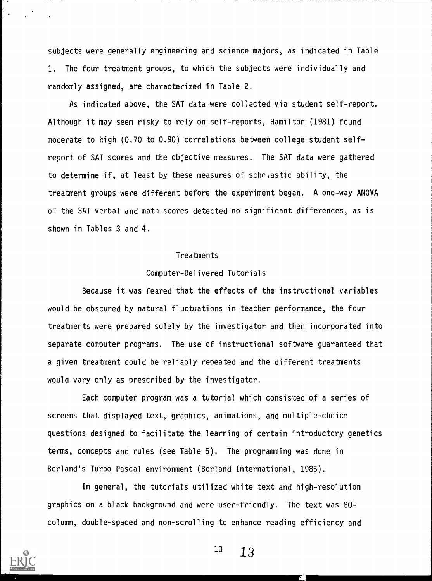subjects were generally engineering and science majors, as indicated in Table 1. The four treatment groups, to which the subjects were individually and randomly assigned, are characterized in Table 2.

As indicated above, the SAT data were collected via student self-report. Although it may seem risky to rely on self-reports, Hamilton (1981) found moderate to high (0.70 to 0.90) correlations between college student selfreport of SAT scores and the objective measures. The SAT data were gathered to determine if, at least by these measures of schr,astic ability, the treatment groups were different before the experiment began. A one-way ANOVA of the SAT verbal and math scores detected no significant differences, as is shown in Tables 3 and 4.

### Treatments

#### Computer-Delivered Tutorials

Because it was feared that the effects of the instructional variables would be obscured by natural fluctuations in teacher performance, the four treatments were prepared solely by the investigator and then incorporated into separate computer programs. The use of instructional software guaranteed that a given treatment could be reliably repeated and the different treatments woula vary only as prescribed by the investigator.

Each computer program was a tutorial which consisted of a series of screens that displayed text, graphics, animations, and multiple-choice questions designed to facilitate the learning of certain introductory genetics terms, concepts and rules (see Table 5). The programming was done in Borland's Turbo Pascal environment (Borland International, 1985).

In general, the tutorials utilized white text and high-resolution graphics on a black background and were user-friendly. The text was 80 column, double-spaced and non-scrolling to enhance reading efficiency and



 $10 \t 13$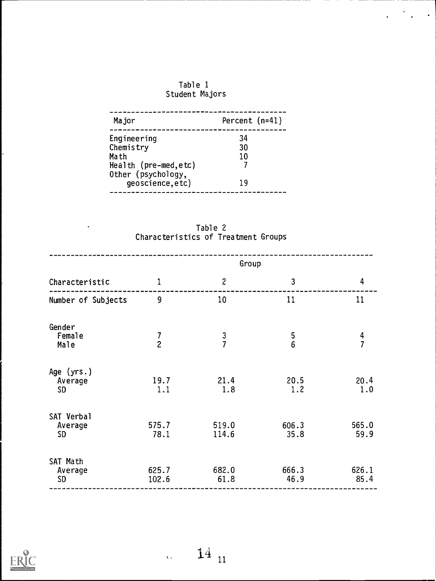

 $\langle \cdot \rangle$  .

| Major                                 | Percent $(n=41)$ |
|---------------------------------------|------------------|
| Engineering                           | 34               |
| Chemistry                             | 30               |
| Math                                  | 10               |
| Health ( $pre-med, etc$ )             |                  |
| Other (psychology,<br>geoscience,etc) | 1 9              |

Table 2 Characteristics of Treatment Groups

 $\ddot{\phantom{0}}$ 

|                                      |                                       |                | Group         |                |
|--------------------------------------|---------------------------------------|----------------|---------------|----------------|
| Characteristic                       | 1                                     | $\mathbf{2}$   | 3             | $\overline{4}$ |
| Number of Subjects                   | 9                                     | 10             | 11            | 11             |
| Gender<br>Female<br>Male             | $\begin{array}{c} 7 \\ 2 \end{array}$ | $\frac{3}{7}$  | $\frac{5}{6}$ | $\frac{4}{7}$  |
| Age $(yrs.)$<br>Average<br><b>SD</b> | 19.7<br>1.1                           | 21.4<br>1.8    | 20.5<br>1.2   | 20.4<br>1.0    |
| SAT Verbal<br>Average<br><b>SD</b>   | 575.7<br>78.1                         | 519.0<br>114.6 | 606.3<br>35.8 | 565.0<br>59.9  |
| SAT Math<br>Average<br><b>SD</b>     | 625.7<br>102.6                        | 682.0<br>61.8  | 666.3<br>46.9 | 626.1<br>85.4  |

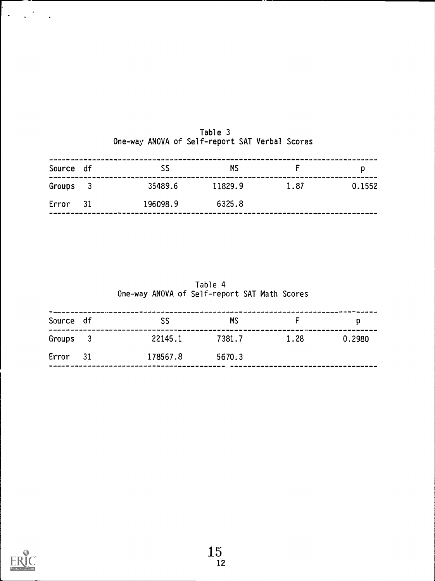| Source df |                            | SS       | <b>MS</b> |      | D      |
|-----------|----------------------------|----------|-----------|------|--------|
| Groups    | $\overline{\phantom{a}}$ 3 | 35489.6  | 11829.9   | 1.87 | 0.1552 |
| Error     | 31                         | 196098.9 | 6325.8    |      |        |

|  | Table 3                                        |  |  |
|--|------------------------------------------------|--|--|
|  | One-way ANOVA of Self-report SAT Verbal Scores |  |  |

|           |                          |         | One-way ANOVA of Self-report SAT Math Scores |      |        |
|-----------|--------------------------|---------|----------------------------------------------|------|--------|
| Source df |                          | SS      | ΜS                                           |      |        |
| Groups    | $\overline{\phantom{a}}$ | 22145.1 | 7381.7                                       | 1.28 | 0.2980 |

Table 4

| Error | 78567.8 | 5670.J |
|-------|---------|--------|
|       |         |        |



k.

 $\Delta \sim 10^{11}$ 

 $\ddot{\phantom{a}}$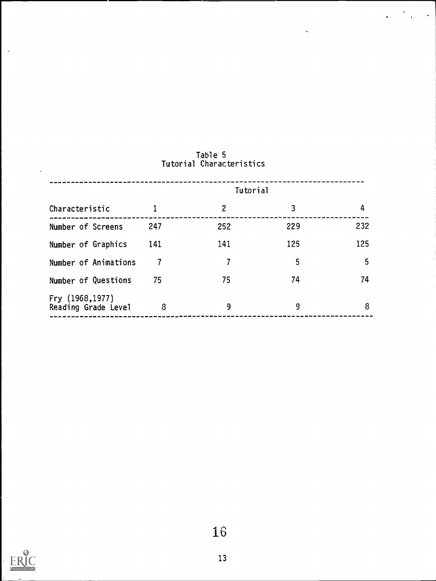|                                        |     | <b>Tutorial</b> |     |     |
|----------------------------------------|-----|-----------------|-----|-----|
| Characteristic                         | 1   | $\overline{c}$  | 3   | 4   |
| Number of Screens                      | 247 | 252             | 229 | 232 |
| Number of Graphics                     | 141 | 141             | 125 | 125 |
| Number of Animations                   |     | 7               | 5   | 5   |
| Number of Questions                    | 75  | 75              | 74  | 74  |
| Fry (1968,1977)<br>Reading Grade Level | 8   | 9               | 9   | 8   |

# Table 5 Tutorial Characteristics

 $\boldsymbol{\cdot}$ 

 $\ddot{\phantom{0}}$ 

 $\hat{\mathbf{v}}$ 

 $\mathcal{L}$ 



 $\bar{\mathbf{x}}$ 

 $\overline{\phantom{a}}$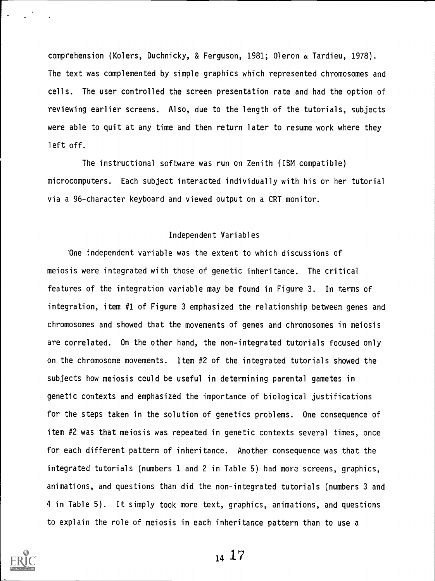comprehension (Kolers, Duchnicky, & Ferguson, 1981; Oleron a Tardieu, 1978). The text was complemented by simple graphics which represented chromosomes and cells. The user controlled the screen presentation rate and had the option of reviewing earlier screens. Also, due to the length of the tutorials, subjects were able to quit at any time and then return later to resume work where they left off.

The instructional software was run on Zenith (IBM compatible) microcomputers. Each subject interacted individually with his or her tutorial via a 96-character keyboard and viewed output on a CRT monitor.

#### Independent Variables

One independent variable was the extent to which discussions of meiosis were integrated with those of genetic inheritance. The critical features of the integration variable may be found in Figure 3. In terms of integration, item #1 of Figure 3 emphasized the relationship between genes and chromosomes and showed that the movements of genes and chromosomes in meiosis are correlated. On the other hand, the non-integrated tutorials focused only on the chromosome movements. Item #2 of the integrated tutorials showed the subjects how meiosis could be useful in determining parental gametes in genetic contexts and emphasized the importance of biological justifications for the steps taken in the solution of genetics problems. One consequence of item #2 was that meiosis was repeated in genetic contexts several times, once for each different pattern of inheritance. Another consequence was that the integrated tutorials (numbers 1 and 2 in Table 5) had more screens, graphics, animations, and questions than did the non-integrated tutorials (numbers 3 and 4 in Table 5). It simply took more text, graphics, animations, and questions to explain the role of meiosis in each inheritance pattern than to use a



 $14 \frac{17}{2}$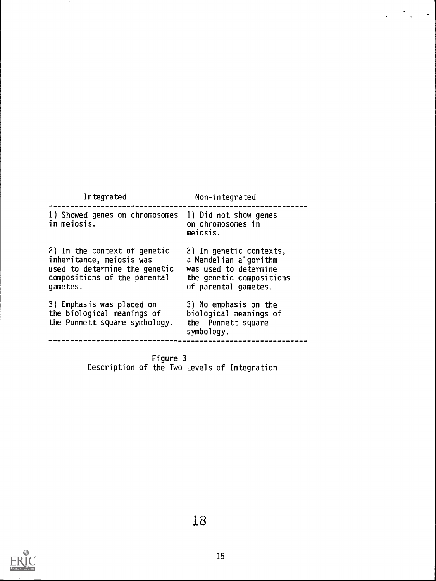| Integrated                                                                                                                            | Non-integrated                                                                                                                |
|---------------------------------------------------------------------------------------------------------------------------------------|-------------------------------------------------------------------------------------------------------------------------------|
| 1) Showed genes on chromosomes<br>in mejosis.                                                                                         | 1) Did not show genes<br>on chromosomes in<br>meiosis.                                                                        |
| 2) In the context of genetic<br>inheritance, meiosis was<br>used to determine the genetic<br>compositions of the parental<br>gametes. | 2) In genetic contexts,<br>a Mendelian algorithm<br>was used to determine<br>the genetic compositions<br>of parental gametes. |
| 3) Emphasis was placed on<br>the biological meanings of<br>the Punnett square symbology.                                              | 3) No emphasis on the<br>biological meanings of<br>the Punnett square<br>symbology.                                           |

 $\ddot{\phantom{1}}$ 

 $\ddot{\phantom{a}}$ 

Figure 3 Description of the Two Levels of Integration



 $\sim$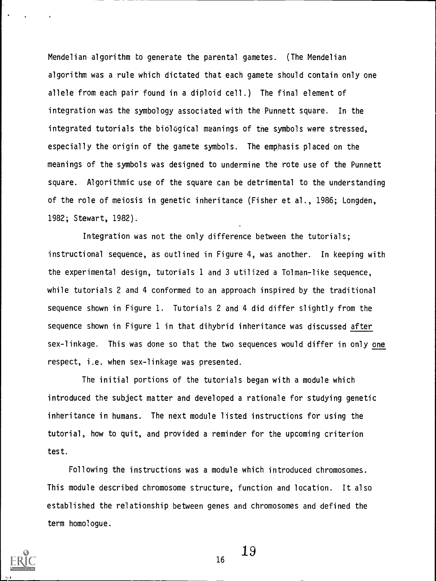Mendelian algorithm to generate the parental gametes. (The Mendelian algorithm was a rule which dictated that each gamete should contain only one allele from each pair found in a diploid cell.) The final element of integration was the symbology associated with the Punnett square. In the integrated tutorials the biological meanings of the symbols were stressed, especially the origin of the gamete symbols. The emphasis placed on the meanings of the symbols was designed to undermine the rote use of the Punnett square. Algorithmic use of the square can be detrimental to the understanding of the role of meiosis in genetic inheritance (Fisher et al., 1986; Longden, 1982; Stewart, 1982).

Integration was not the only difference between the tutorials; instructional sequence, as outlined in Figure 4, was another. In keeping with the experimental design, tutorials 1 and 3 utilized a Tolman-like sequence, while tutorials 2 and 4 conformed to an approach inspired by the traditional sequence shown in Figure 1. Tutorials 2 and 4 did differ slightly from the sequence shown in Figure 1 in that dihybrid inheritance was discussed after sex-linkage. This was done so that the two sequences would differ in only one respect, i.e. when sex-linkage was presented.

The initial portions of the tutorials began with a module which introduced the subject matter and developed a rationale for studying genetic inheritance in humans. The next module listed instructions for using the tutorial, how to quit, and provided a reminder for the upcoming criterion test.

Following the instructions was a module which introduced chromosomes. This module described chromosome structure, function and location. It also established the relationship between genes and chromosomes and defined the term homologue.



19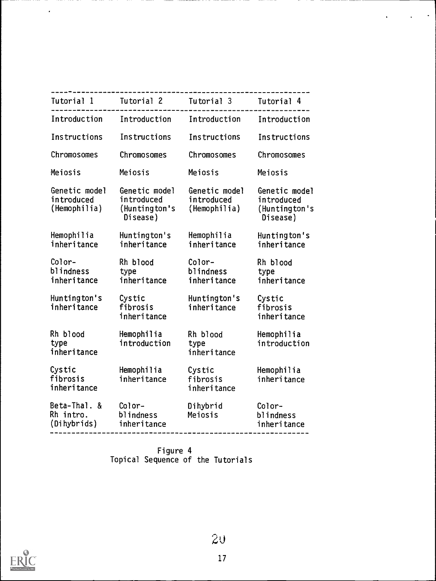|                                             | Tutorial 1 Tutorial 2 Tutorial 3                         |                                             | Tutorial 4                                               |
|---------------------------------------------|----------------------------------------------------------|---------------------------------------------|----------------------------------------------------------|
| Introduction                                | Introduction                                             | Introduction                                | Introduction                                             |
| Instructions                                | Instructions                                             | Instructions                                | Instructions                                             |
| Chromosomes                                 | Chromosomes                                              | Chromosomes                                 | Chromosomes                                              |
| Meiosis                                     | Meiosis                                                  | Meiosis                                     | Meiosis                                                  |
| Genetic model<br>introduced<br>(Hemophilia) | Genetic model<br>introduced<br>(Huntington's<br>Disease) | Genetic model<br>introduced<br>(Hemophilia) | Genetic model<br>introduced<br>(Huntington's<br>Disease) |
| Hemophilia<br>inheritance                   | Huntington's<br>inheritance                              | Hemophilia<br>inheritance                   | Huntington's<br>inheritance                              |
| Color-<br>blindness<br>inheritance          | Rh blood<br>type<br>inheritance                          | Color-<br>blindness<br>inheritance          | Rh blood<br>type<br>inheritance                          |
| Huntington's<br>inheritance                 | Cystic<br>fibrosis<br>inheritance                        | Huntington's<br>inheritance                 | Cystic<br>fibrosis<br>inheritance                        |
| Rh blood<br>type<br>inheritance             | Hemophilia<br>introduction                               | Rh blood<br>type<br>inheritance             | Hemophilia<br>introduction                               |
| Cystic<br>fibrosis<br>inheritance           | Hemophilia<br>inheritance                                | Cystic<br>fibrosis<br>inheritance           | Hemophilia<br>inheritance                                |
| Beta-Thal. &<br>Rh intro.<br>(Dihybrids)    | Color-<br>blindness<br>inheritance                       | Dihybrid<br>Meiosis                         | Color-<br>blindness<br>inheritance                       |

 $\Box$ 

Figure 4 Topical Sequence of the Tutorials



 $\overline{\phantom{a}}$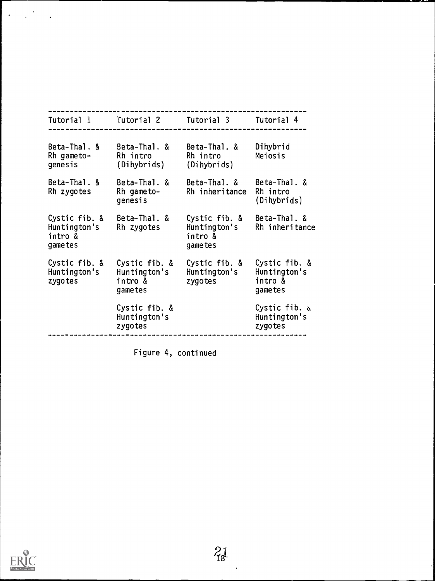| Tutorial 1                                           | Tutorial 2                                          | Tutorial 3                                           | Tutorial 4                                          |
|------------------------------------------------------|-----------------------------------------------------|------------------------------------------------------|-----------------------------------------------------|
|                                                      |                                                     |                                                      |                                                     |
| Beta-Thal. &<br>Rh gameto-<br>genesis                | Beta-Thal. &<br>Rh intro<br>(Dihybrids)             | Beta-Thal. &<br>Rh intro<br>(Dihybrids)              | Dihybrid<br>Meiosis                                 |
| Beta-Thal. &<br>Rh zygotes                           | Beta-Thal. &<br>Rh gameto-<br>genesis               | Beta-Thal. &<br>Rh inheritance                       | Beta-Thal. &<br>Rh intro<br>(Dihybrids)             |
| Cystic fib. &<br>Huntington's<br>intro &<br>game tes | Beta-Thal. &<br>Rh zygotes                          | Cystic fib. &<br>Huntington's<br>intro &<br>game tes | Beta-Thal. &<br>Rh inheritance                      |
| Cystic fib. &<br>Huntington's<br>zygotes             | Cystic fib. &<br>Huntington's<br>intro &<br>gametes | Cystic fib. &<br>Huntington's<br>zygotes             | Cystic fib. &<br>Huntington's<br>intro &<br>gametes |
|                                                      | Cystic fib. &<br>Huntington's<br>zygotes            |                                                      | Cystic fib. $\Delta$<br>Huntington's<br>zygotes     |

Figure 4, continued



 $\mathbb{R}^{\mathbb{Z}^2}$ 

 $\ddot{\phantom{a}}$ 

 $\ddot{\phantom{0}}$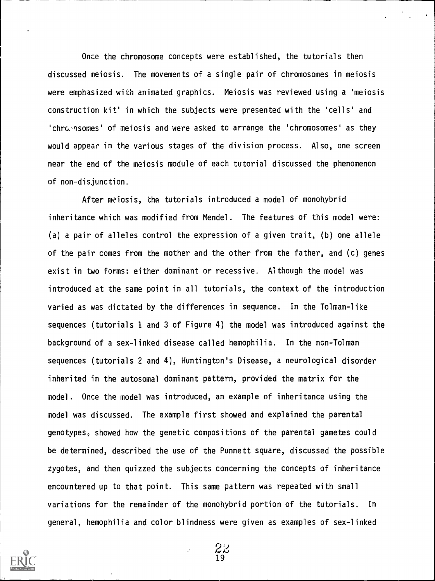Once the chromosome concepts were established, the tutorials then discussed meiosis. The movements of a single pair of chromosomes in meiosis were emphasized with animated graphics. Meiosis was reviewed using a 'meiosis construction kit' in which the subjects were presented with the 'cells' and 'chro. osomes' of meiosis and were asked to arrange the 'chromosomes' as they would appear in the various stages of the division process. Also, one screen near the end of the meiosis module of each tutorial discussed the phenomenon of non-disjunction.

After meiosis, the tutorials introduced a model of monohybrid inheritance which was modified from Mendel. The features of this model were: (a) a pair of alleles control the expression of a given trait, (b) one allele of the pair comes from the mother and the other from the father, and (c) genes exist in two forms: either dominant or recessive. Although the model was introduced at the same point in all tutorials, the context of the introduction varied as was dictated by the differences in sequence. In the Tolman-like sequences (tutorials 1 and 3 of Figure 4) the model was introduced against the background of a sex-linked disease called hemophilia. In the non-Tolman sequences (tutorials 2 and 4), Huntington's Disease, a neurological disorder inherited in the autosomal dominant pattern, provided the matrix for the model. Once the model was introduced, an example of inheritance using the model was discussed. The example first showed and explained the parental genotypes, showed how the genetic compositions of the parental gametes could be determined, described the use of the Punnett square, discussed the possible zygotes, and then quizzed the subjects concerning the concepts of inheritance encountered up to that point. This same pattern was repeated with small variations for the remainder of the monohybrid portion of the tutorials. In general, hemophilia and color blindness were given as examples of sex-linked



 $\overline{\mathcal{A}}$ 19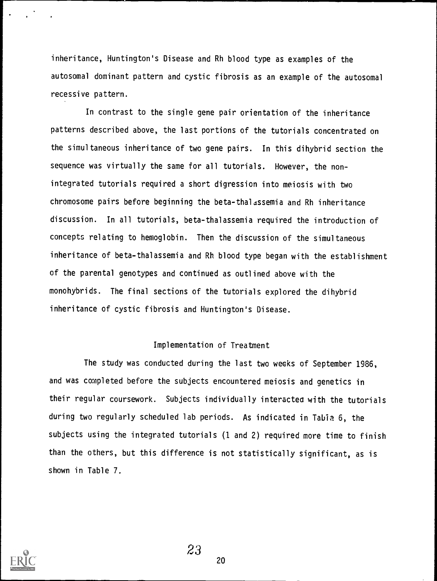inheritance, Huntington's Disease and Rh blood type as examples of the autosomal dominant pattern and cystic fibrosis as an example of the autosomal recessive pattern.

In contrast to the single gene pair orientation of the inheritance patterns described above, the last portions of the tutorials concentrated on the simultaneous inheritance of two gene pairs. In this dihybrid section the sequence was virtually the same for all tutorials. However, the nonintegrated tutorials required a short digression into meiosis with two chromosome pairs before beginning the beta-thalassemia and Rh inheritance discussion. In all tutorials, beta-thalassemia required the introduction of concepts relating to hemoglobin. Then the discussion of the simultaneous inheritance of beta-thalassemia and Rh blood type began with the establishment of the parental genotypes and continued as outlined above with the monohybrids. The final sections of the tutorials explored the dihybrid inheritance of cystic fibrosis and Huntington's Disease.

### Implementation of Treatment

The study was conducted during the last two weeks of September 1986, and was completed before the subjects encountered meiosis and genetics in their regular coursework. Subjects individually interacted with the tutorials during two regularly scheduled lab periods. As indicated in Tabia 6, the subjects using the integrated tutorials (1 and 2) required more time to finish than the others, but this difference is not statistically significant, as is shown in Table 7.

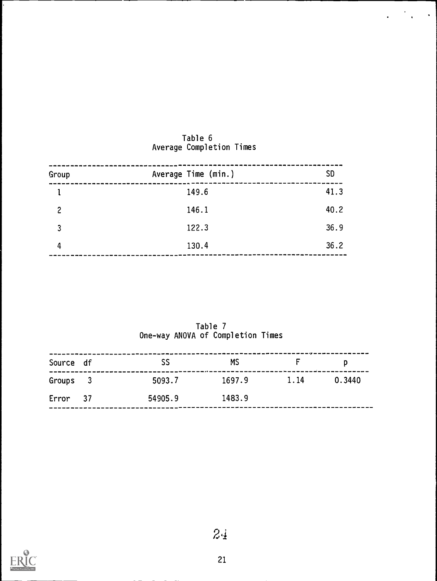| Group | Average Time (min.) | <b>SD</b> |
|-------|---------------------|-----------|
|       | 149.6               | 41.3      |
| 2     | 146.1               | 40.2      |
| 3     | 122.3               | 36.9      |
| 4     | 130.4               | 36.2      |

## Table 6 Average Completion Times

 $\hat{\mathbf{v}}$ 

Table / **The Table 1** One-way ANOVA of Completion Times

| Source df | SS      | МS     | ----- <i>---------------------------</i> |        |
|-----------|---------|--------|------------------------------------------|--------|
| Groups 3  | 5093.7  | 1697.9 | 1.14                                     | 0.3440 |
| Error 37  | 54905.9 | 1483.9 |                                          |        |

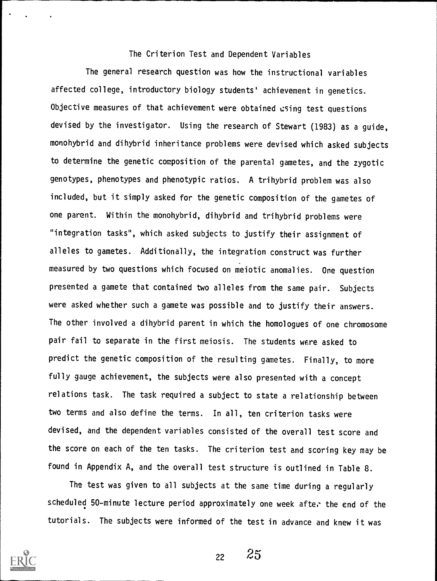The Criterion Test and Dependent Variables

The general research question was how the instructional variables affected college, introductory biology students' achievement in genetics. Objective measures of that achievement were obtained using test questions devised by the investigator. Using the research of Stewart (1983) as a guide, monohybrid and dihybrid inheritance problems were devised which asked subjects to determine the genetic composition of the parental gametes, and the zygotic genotypes, phenotypes and phenotypic ratios. A trihybrid problem was also included, but it simply asked for the genetic composition of the gametes of one parent. Within the monohybrid, dihybrid and trihybrid problems were "integration tasks", which asked subjects to justify their assignment of alleles to gametes. Additionally, the integration construct was further measured by two questions which focused on meiotic anomalies. One question presented a gamete that contained two alleles from the same pair. Subjects were asked whether such a gamete was possible and to justify their answers. The other involved a dihybrid parent in which the homologues of one chromosome pair fail to separate in the first meiosis. The students were asked to predict the genetic composition of the resulting gametes. Finally, to more fully gauge achievement, the subjects were also presented with a concept relations task. The task required a subject to state a relationship between two terms and also define the terms. In all, ten criterion tasks were devised, and the dependent variables consisted of the overall test score and the score on each of the ten tasks. The criterion test and scoring key may be found in Appendix A, and the overall test structure is outlined in Table 8.

The test was given to all subjects at the same time during a regularly scheduled 50-minute lecture period approximately one week after the end of the tutorials. The subjects were informed of the test in advance and knew it was

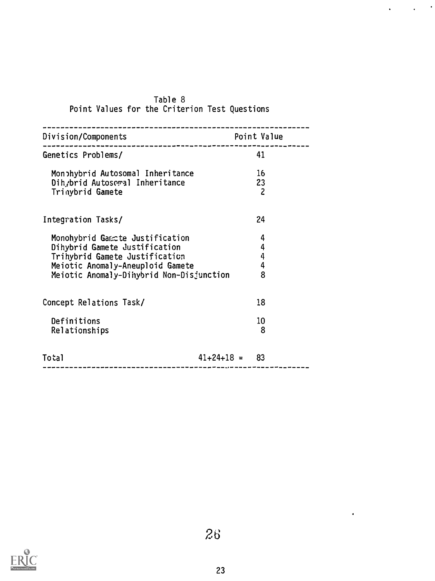| Division/Components<br>----------------                                                                                                                                            | Point Value                |
|------------------------------------------------------------------------------------------------------------------------------------------------------------------------------------|----------------------------|
| Genetics Problems/                                                                                                                                                                 | 41                         |
| Monohybrid Autosomal Inheritance<br>Dih, brid Autosomal Inheritance<br>Trinybrid Gamete                                                                                            | 16<br>23<br>$\overline{c}$ |
| Integration Tasks/                                                                                                                                                                 | 24                         |
| Monohybrid Gamete Justification<br>Dihybrid Gamete Justification<br>Trihybrid Gamete Justification<br>Meiotic Anomaly-Aneuploid Gamete<br>Meiotic Anomaly-Dihybrid Non-Disjunction | 4<br>4<br>4<br>4<br>8      |
| Concept Relations Task/                                                                                                                                                            | 18                         |
| Definitions<br>Relationships                                                                                                                                                       | 10<br>8                    |
| Total                                                                                                                                                                              | $41+24+18 = 83$            |

## Table 8 Point Values for the Criterion Test Questions

 $\sim$   $\sim$ 

 $\ddot{\phantom{0}}$ 

 $\ddot{\phantom{a}}$ 

 $\bullet$ 

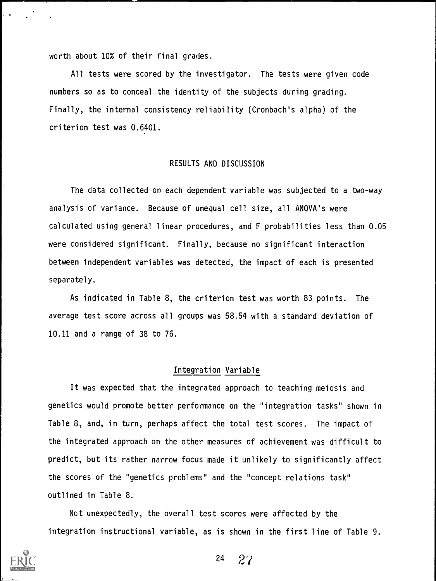worth about 10% of their final grades.

All tests were scored by the investigator. The tests were given code numbers so as to conceal the identity of the subjects during grading. Finally, the internal consistency reliability (Cronbach's alpha) of the criterion test was 0.6401.

## RESULTS AND DISCUSSION

The data collected on each dependent variable was subjected to a two-way analysis of variance. Because of unequal cell size, all ANOVA's were calculated using general linear procedures, and F probabilities less than 0.05 were considered significant. Finally, because no significant interaction between independent variables was detected, the impact of each is presented separately.

As indicated in Table 8, the criterion test was worth 83 points. The average test score across all groups was 58.54 with a standard deviation of 10.11 and a range of 38 to 76.

### Integration Variable

It was expected that the integrated approach to teaching meiosis and genetics would promote better performance on the "integration tasks" shown in Table 8, and, in turn, perhaps affect the total test scores. The impact of the integrated approach on the other measures of achievement was difficult to predict, but its rather narrow focus made it unlikely to significantly affect the scores of the "genetics problems" and the "concept relations task" outlined in Table 8.

Not unexpectedly, the overall test scores were affected by the integration instructional variable, as is shown in the first line of Table 9.



<sup>24</sup> 2?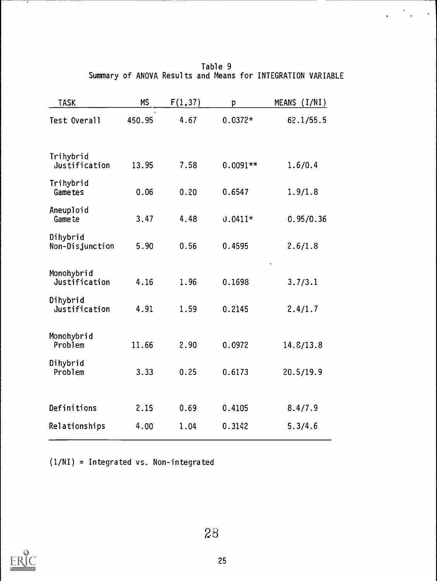|  |  | Table 9 |                                                             |  |
|--|--|---------|-------------------------------------------------------------|--|
|  |  |         | Summary of ANOVA Results and Means for INTEGRATION VARIABLE |  |

 $\mathcal{L}^{\text{max}}(\mathcal{L}^{\text{max}})$ 

| <b>TASK</b>                  | <b>MS</b> | F(1, 37) | p          | MEANS (I/NI) |
|------------------------------|-----------|----------|------------|--------------|
| Test Overall                 | 450.95    | 4.67     | $0.0372*$  | 62.1/55.5    |
|                              |           |          |            |              |
| Trihybrid<br>Justification   | 13.95     | 7.58     | $0.0091**$ | 1.6/0.4      |
| Trihybrid<br><b>Game</b> tes | 0.06      | 0.20     | 0.6547     | 1.9/1.8      |
| Aneuploid<br>Game te         | 3.47      | 4.48     | $0.0411*$  | 0.95/0.36    |
| Dihybrid<br>Non-Disjunction  | 5.90      | 0.56     | 0.4595     | 2.6/1.8      |
| Monohybrid<br>Justification  | 4.16      | 1.96     | 0.1698     | 3.7/3.1      |
| Dihybrid<br>Justification    | 4.91      | 1.59     | 0.2145     | 2.4/1.7      |
| Monohybrid<br>Problem        | 11.66     | 2.90     | 0.0972     | 14.8/13.8    |
| Dihybrid<br>Problem          | 3.33      | 0.25     | 0.6173     | 20.5/19.9    |
|                              |           |          |            |              |
| Definitions                  | 2.15      | 0.69     | 0.4105     | 8.4/7.9      |
| Relationships                | 4.00      | 1.04     | 0.3142     | 5.3/4.6      |

(1/NI) = Integrated vs. Non-integrated



 $\overline{1}$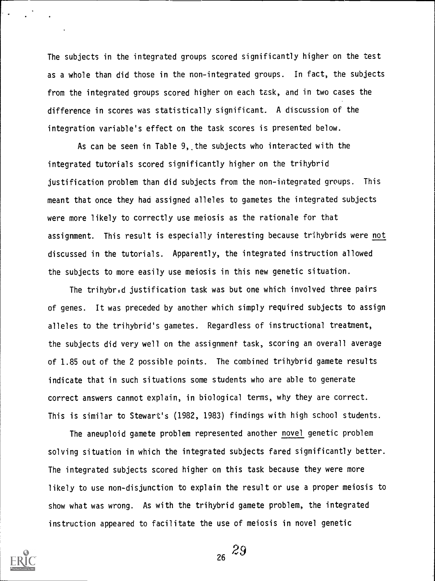The subjects in the integrated groups scored significantly higher on the test as a whole than did those in the non-integrated groups. In fact, the subjects from the integrated groups scored higher on each task, and in two cases the difference in scores was statistically significant. A discussion of the integration variable's effect on the task scores is presented below.

As can be seen in Table 9,,the subjects who interacted with the integrated tutorials scored significantly higher on the trihybrid justification problem than did subjects from the non-integrated groups. This meant that once they had assigned alleles to gametes the integrated subjects were more likely to correctly use meiosis as the rationale for that assignment. This result is especially interesting because trihybrids were not discussed in the tutorials. Apparently, the integrated instruction allowed the subjects to more easily use meiosis in this new genetic situation.

The trihybrid justification task was but one which involved three pairs of genes. It was preceded by another which simply required subjects to assign alleles to the trihybrid's gametes. Regardless of instructional treatment, the subjects did very well on the assignment task, scoring an overall average of 1.85 out of the 2 possible points. The combined trihybrid gamete results indicate that in such situations some students who are able to generate correct answers cannot explain, in biological terms, why they are correct. This is similar to Stewart's (1982, 1983) findings with high school students.

The aneuploid gamete problem represented another novel genetic problem solving situation in which the integrated subjects fared significantly better. The integrated subjects scored higher on this task because they were more likely to use non-disjunction to explain the result or use a proper meiosis to show what was wrong. As with the trihybrid gamete problem, the integrated instruction appeared to facilitate the use of meiosis in novel genetic

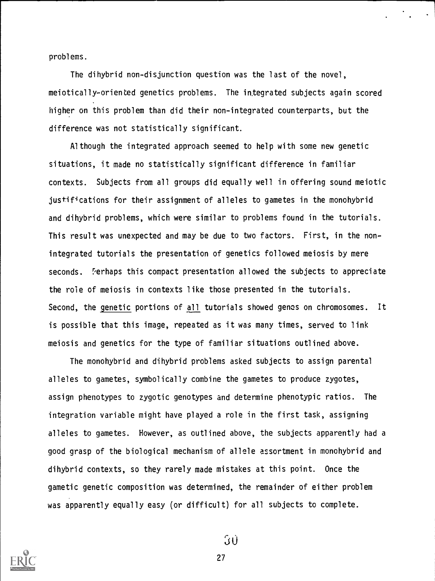problems.

The dihybrid non-disjunction question was the last of the novel, meiotically-oriented genetics problems. The integrated subjects again scored higher on this problem than did their non-integrated counterparts, but the difference was not statistically significant.

Although the integrated approach seemed to help with some new genetic situations, it made no statistically significant difference in familiar contexts. Subjects from all groups did equally well in offering sound meiotic justifications for their assignment of alleles to gametes in the monohybrid and dihybrid problems, which were similar to problems found in the tutorials. This result was unexpected and may be due to two factors. First, in the nonintegrated tutorials the presentation of genetics followed meiosis by mere seconds. Perhaps this compact presentation allowed the subjects to appreciate the role of meiosis in contexts like those presented in the tutorials. Second, the genetic portions of all tutorials showed genes on chromosomes. It is possible that this image, repeated as it was many times, served to link meiosis and genetics for the type of familiar situations outlined above.

The monohybrid and dihybrid problems asked subjects to assign parental alleles to gametes, symbolically combine the gametes to produce zygotes, assign phenotypes to zygotic genotypes and determine phenotypic ratios. The integration variable might have played a role in the first task, assigning alleles to gametes. However, as outlined above, the subjects apparently had a good grasp of the biological mechanism of allele assortment in monohybrid and dihybrid contexts, so they rarely made mistakes at this point. Once the gametic genetic composition was determined, the remainder of either problem was apparently equally easy (or difficult) for all subjects to complete.



 $30$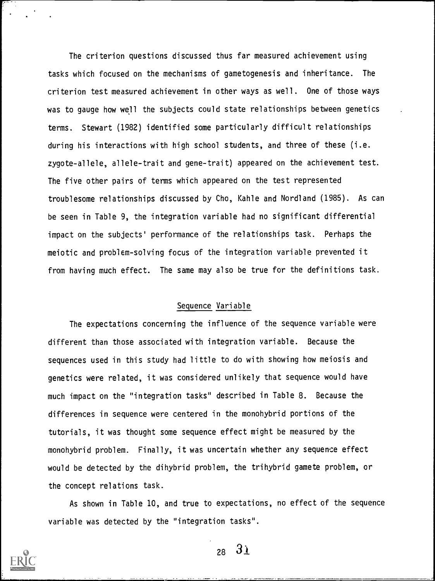The criterion questions discussed thus far measured achievement using tasks which focused on the mechanisms of gametogenesis and inheritance. The criterion test measured achievement in other ways as well. One of those ways was to gauge how well the subjects could state relationships between genetics terms. Stewart (1982) identified some particularly difficult relationships during his interactions with high school students, and three of these (i.e. zygote-allele, allele-trait and gene-trait) appeared on the achievement test. The five other pairs of terms which appeared on the test represented troublesome relationships discussed by Cho, Kahle and Nordland (1985). As can be seen in Table 9, the integration variable had no significant differential impact on the subjects' performance of the relationships task. Perhaps the meiotic and problem-solving focus of the integration variable prevented it from having much effect. The same may also be true for the definitions task.

## Sequence Variable

The expectations concerning the influence of the sequence variable were different than those associated with integration variable. Because the sequences used in this study had little to do with showing how meiosis and genetics were related, it was considered unlikely that sequence would have much impact on the "integration tasks" described in Table 8. Because the differences in sequence were centered in the monohybrid portions of the tutorials, it was thought some sequence effect might be measured by the monohybrid problem. Finally, it was uncertain whether any sequence effect would be detected by the dihybrid problem, the trihybrid gamete problem, or the concept relations task.

As shown in Table 10, and true to expectations, no effect of the sequence variable was detected by the "integration tasks".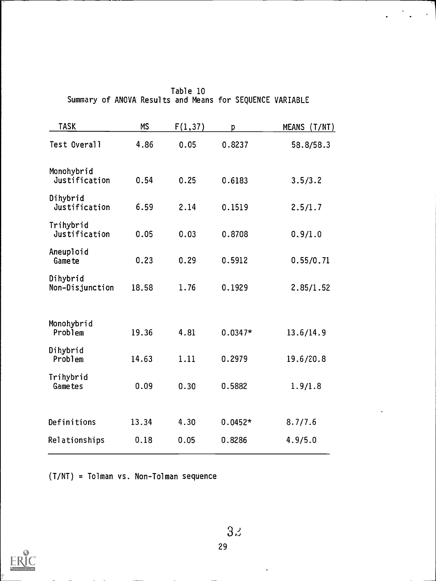| <b>TASK</b>                 | <b>MS</b> | F(1, 37) | D         | MEANS (T/NT) |
|-----------------------------|-----------|----------|-----------|--------------|
| Test Overall                | 4.86      | 0.05     | 0.8237    | 58.8/58.3    |
| Monohybrid<br>Justification | 0.54      | 0.25     | 0.6183    | 3.5/3.2      |
| Dihybrid<br>Justification   | 6.59      | 2.14     | 0.1519    | 2.5/1.7      |
| Trihybrid<br>Justification  | 0.05      | 0.03     | 0.8708    | 0.9/1.0      |
| Aneuploid<br>Game te        | 0.23      | 0.29     | 0.5912    | 0.55/0.71    |
| Dihybrid<br>Non-Disjunction | 18.58     | 1.76     | 0.1929    | 2.85/1.52    |
| Monohybrid<br>Problem       | 19.36     | 4.81     | $0.0347*$ | 13.6/14.9    |
| Dihybrid<br>Problem         | 14.63     | 1.11     | 0.2979    | 19.6/20.8    |
| Trihybrid<br>Gametes        | 0.09      | 0.30     | 0.5882    | 1.9/1.8      |
| Definitions                 | 13.34     | 4.30     | $0.0452*$ | 8.7/7.6      |
| Relationships               | 0.18      | 0.05     | 0.8286    | 4.9/5.0      |

Table 10 Summary of ANOVA Results and Means for SEQUENCE VARIABLE

 $\mathcal{L}^{\mathcal{L}}$ 

(T/NT) = Tolman vs. Non-Tolman sequence

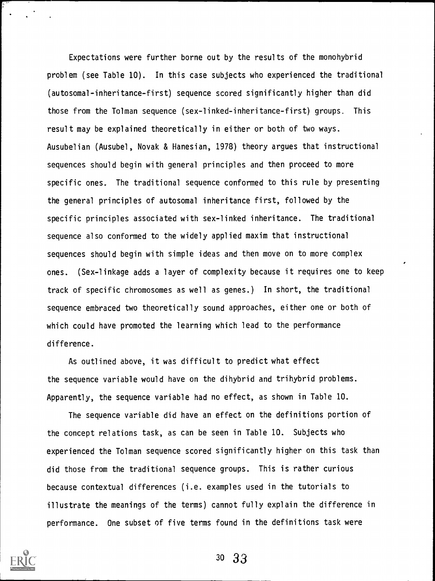Expectations were further borne out by the results of the monohybrid problem (see Table 10). In this case subjects who experienced the traditional (autosomal-inheritance-first) sequence scored significantly higher than did those from the Tolman sequence (sex-linked-inheritance-first) groups. This result may be explained theoretically in either or both of two ways. Ausubelian (Ausubel, Novak & Hanesian, 1978) theory argues that instructional sequences should begin with general principles and then proceed to more specific ones. The traditional sequence conformed to this rule by presenting the general principles of autosomal inheritance first, followed by the specific principles associated with sex-linked inheritance. The traditional sequence also conformed to the widely applied maxim that instructional sequences should begin with simple ideas and then move on to more complex ones. (Sex-linkage adds a layer of complexity because it requires one to keep track of specific chromosomes as well as genes.) In short, the traditional sequence embraced two theoretically sound approaches, either one or both of which could have promoted the learning which lead to the performance difference.

As outlined above, it was difficult to predict what effect the sequence variable would have on the dihybrid and trihybrid problems. Apparently, the sequence variable had no effect, as shown in Table 10.

The sequence variable did have an effect on the definitions portion of the concept relations task, as can be seen in Table 10. Subjects who experienced the Tolman sequence scored significantly higher on this task than did those from the traditional sequence groups. This is rather curious because contextual differences (i.e. examples used in the tutorials to illustrate the meanings of the terms) cannot fully explain the difference in performance. One subset of five terms found in the definitions task were

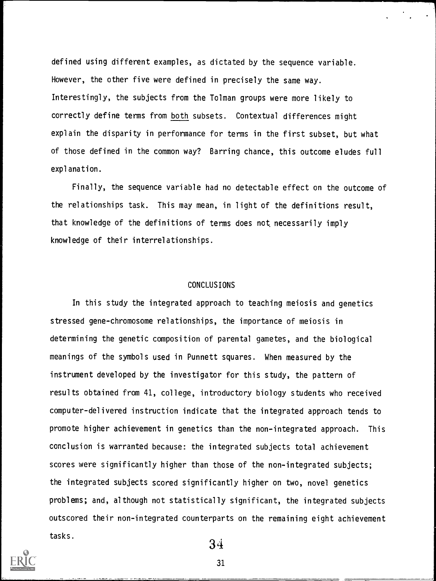defined using different examples, as dictated by the sequence variable. However, the other five were defined in precisely the same way. Interestingly, the subjects from the Tolman groups were more likely to correctly define terms from both subsets. Contextual differences might explain the disparity in performance for terms in the first subset, but what of those defined in the common way? Barring chance, this outcome eludes full explanation.

Finally, the sequence variable had no detectable effect on the outcome of the relationships task. This may mean, in light of the definitions result, that knowledge of the definitions of terms does not necessarily imply knowledge of their interrelationships.

#### CONCLUSIONS

In this study the integrated approach to teaching meiosis and genetics stressed gene-chromosome relationships, the importance of meiosis in determining the genetic composition of parental gametes, and the biological meanings of the symbols used in Punnett squares. When measured by the instrument developed by the investigator for this study, the pattern of results obtained from 41, college, introductory biology students who received computer-delivered instruction indicate that the integrated approach tends to promote higher achievement in genetics than the non-integrated approach. This conclusion is warranted because: the integrated subjects total achievement scores were significantly higher than those of the non-integrated subjects; the integrated subjects scored significantly higher on two, novel genetics problems; and, although not statistically significant, the integrated subjects outscored their non-integrated counterparts on the remaining eight achievement tasks.

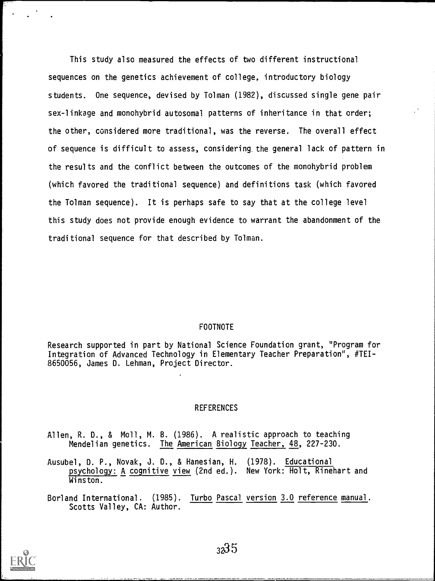This study also measured the effects of two different instructional sequences on the genetics achievement of college, introductory biology students. One sequence, devised by Tolman (1982), discussed single gene pair sex-linkage and monohybrid autosomal patterns of inheritance in that order; the other, considered more traditional, was the reverse. The overall effect of sequence is difficult to assess, considering. the general lack of pattern in the results and the conflict between the outcomes of the monohybrid problem (which favored the traditional sequence) and definitions task (which favored the Tolman sequence). It is perhaps safe to say that at the college level this study does not provide enough evidence to warrant the abandonment of the traditional sequence for that described by Tolman.

### FOOTNOTE

Research supported in part by National Science Foundation grant, "Program for Integration of Advanced Technology in Elementary Teacher Preparation", #TEI-8650056, James D. Lehman, Project Director.

#### **REFERENCES**

- Allen, R. D., & Moll, M. B. (1986). A realistic approach to teaching Mendelian genetics. The American Biology Teacher, 48, 227-230.
- Ausubel, D. P., Novak, J. D., & Hanesian, H. (1978). Educational psychology: A cognitive view (2nd ed.). New York: Holt, Rinehart and Winston.
- Borland International. (1985). Turbo Pascal version 3.0 reference manual. Scotts Valley, CA: Author.

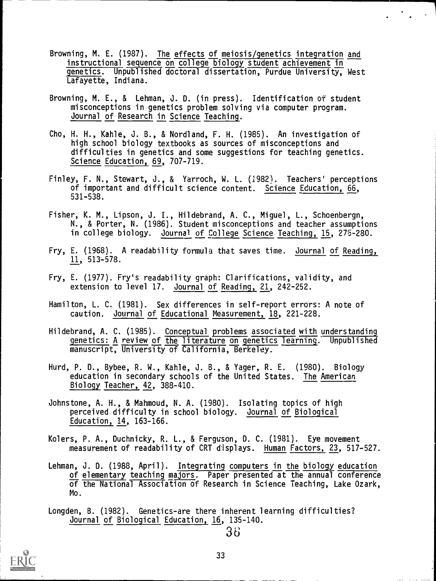- Browning, M. E. (1987). The effects of meiosis/genetics integration and instructional sequence on college biology student achievement in genetics. Unpublished doctoral dissertation, Purdue University, West Lafayette, Indiana.
- Browning, M. E., & Lehman, J. D. (in press). Identification of student misconceptions in genetics problem solving via computer program. Journal of Research in Science Teaching.
- Cho, H. H., Kahle, J. B., & Nordland, F. H. (1985). An investigation of high school biology textbooks as sources of misconceptions and difficulties in genetics and some suggestions for teaching genetics. Science Education, 69, 707-719.
- Finley, F. N., Stewart, J., & Yarroch, W. L. (1982). Teachers' perceptions of important and difficult science content. Science Education, 66, 531-538.
- Fisher, K. M., Lipson, J. I., Hildebrand, A. C., Miguel, L., Schoenbergn, N., & Porter, N. (1986). Student misconceptions and teacher assumptions in college biology. Journal of College Science Teaching, 15, 276-280.
- Fry, E. (1968). A readability formula that saves time. Journal of Reading, 11, 513-578.
- Fry, E. (1977). Fry's readability graph: Clarifications, validity, and extension to level 17. Journal of Reading, 21, 242-252.
- Hamilton, L. C. (1981). Sex differences in self-report errors: A note of caution. Journal of Educational Measurement, 18, 221-228.
- Hildebrand, A. C. (1985). Conceptual problems associated with understanding genetics: A review of the literature on genetics learning. Unpublished manuscript, University of California, Berkeley.
- Hurd, P. D., Bybee, R. W., Kahle, J. B., & Yager, R. E. (1980). Biology education in secondary schools of the United States. The American Biology Teacher, 42, 388-410.
- Johnstone, A. H., & Mahmoud, N. A. (1980). Isolating topics of high perceived difficulty in school biology. Journal of Biological Education, 14, 163-166.
- Kolers, P. A., Duchnicky, R. L., & Ferguson, D. C. (1981). Eye movement measurement of readability of CRT displays. Human Factors, 23, 517-527.
- Lehman, J. D. (1988, April). Integrating computers in the biology education of elementary teaching majors. Paper presented at the annual conference of the National Association of Research in Science Teaching, Lake Ozark, Mo.
- Longden, B. (1982). Genetics-are there inherent learning difficulties? Journal of Biological Education, 16, 135-140.

$$
38 - 36
$$

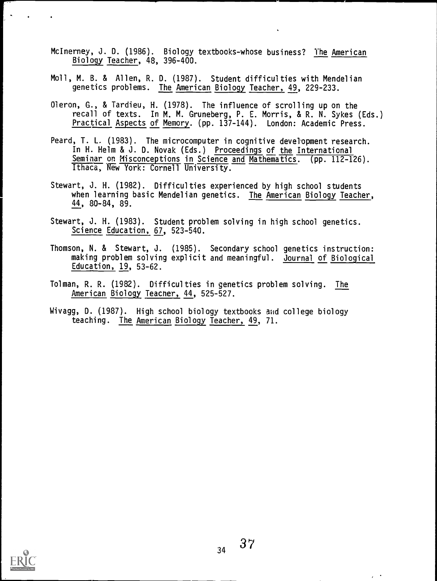- McInerney, J. D. (1986). Biology textbooks-whose business? The American Biology Teacher, 48, 396-400.
- Moll, M. B. & Allen, R. D. (1987). Student difficulties with Mendelian genetics problems. The American Biology Teacher, 49, 229-233.
- Oleron, G., & Tardieu, H. (1978). The influence of scrolling up on the recall of texts. In M. M. Gruneberg, P. E. Morris, & R. N. Sykes (Eds.) Practical Aspects of Memory. (pp. 137-144). London: Academic Press.
- Peard, T. L. (1983). The microcomputer in cognitive development research. In H. Helm & J. D. Novak (Eds.) Proceedings of the International Seminar or Misconceptions in Science and Mathematics. (pp. 112-126). Ithaca, New York: Cornell University.
- Stewart, J. H. (1982). Difficulties experienced by high school students when learning basic Mendelian genetics. The American Biology Teacher, 44, 80-84, 89.
- Stewart, J. H. (1983). Student problem solving in high school genetics. Science Education, 67, 523-540.
- Thomson, N. & Stewart, J. (1985). Secondary school genetics instruction: making problem solving explicit and meaningful. Journal of Biological Education, 19, 53-62.
- Tolman, R. R. (1982). Difficulties in genetics problem solving. The American Biology Teacner, 44, 525-527.
- Wivagg, D. (1987). High school biology textbooks and college biology teaching. The American Biology Teacher, 49, 71.



 $37$ 34

 $\ddot{\phantom{a}}$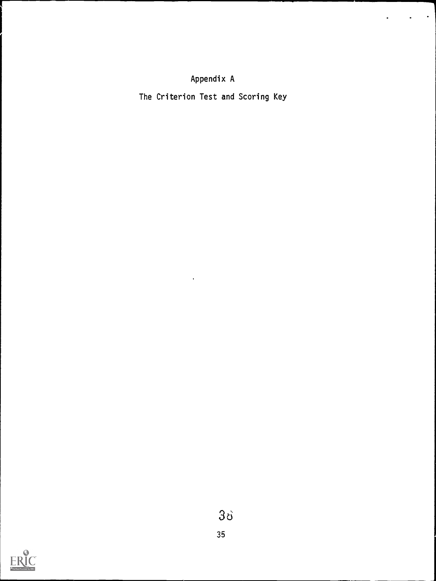# Appendix A

The Criterion Test and Scoring Key

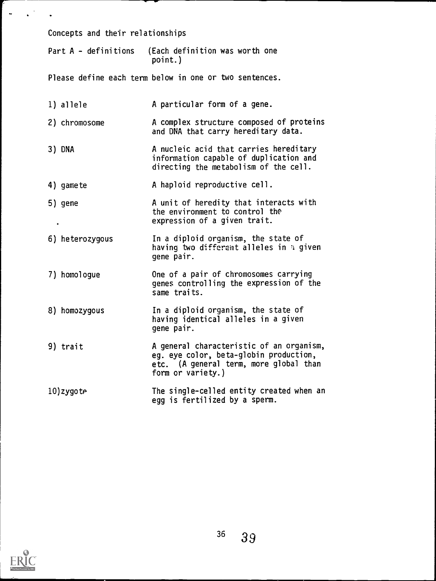Concepts and their relationships

Part A - definitions (Each definition was worth one point.)

Please define each term below in one or two sentences.

|  | 1) allele |  | A particular form of a gene. |  |  |  |  |
|--|-----------|--|------------------------------|--|--|--|--|
|--|-----------|--|------------------------------|--|--|--|--|

- 2) chromosome A complex structure composed of proteins and DNA that carry hereditary data.
- 3) DNA A nucleic acid that carries hereditary information capable of duplication and directing the metabolism of the cell.
- 4) gamete A haploid reproductive cell.
- 5) gene A unit of heredity that interacts with the environment to control the expression of a given trait.
- 6) heterozygous In a diploid organism, the state of having two different alleles in % given gene pair.
- 7) homologue One of a pair of chromosomes carrying genes controlling the expression of the same traits.
- 8) homozygous In a diploid organism, the state of having identical alleles in a given gene pair.
- 9) trait A general characteristic of an organism, eg. eye color, beta-globin production, etc. (A general term, more global than form or variety.)
- 10)zygote The single-celled entity created when an egg is fertilized by a sperm.

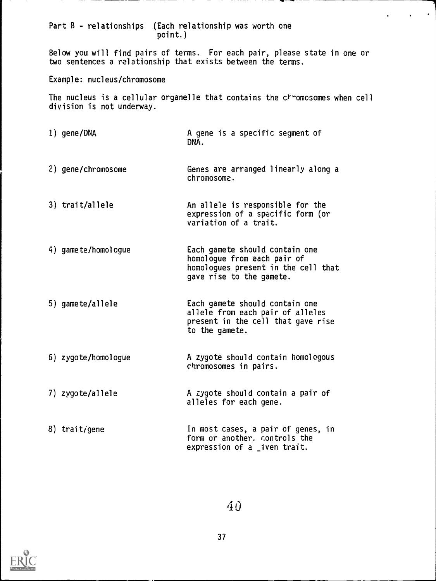Part B - relationships (Each relationship was worth one point.)

Below you will find pairs of terms. For each pair, please state in one or two sentences a relationship that exists between the terms.

Example: nucleus/chromosome

The nucleus is a cellular organelle that contains the chromosomes when cell division is not underway.

- 1) gene/DNA A gene is a specific segment of DNA.
- 2) gene/chromosome Genes are arranged linearly along a chromosome.
- 3) trait/allele An allele is responsible for the expression of a specific form (or variation of a trait.
- 4) gamete/homologue Each gamete should contain one homologue from each pair of homologues present in the cell that gave rise to the gamete.
- 5) gamete/allele Each gamete should contain one allele from each pair of alleles present in the cell that gave rise to the gamete.
- 6) zygote/homologue A zygote should contain homologous chromosomes in pairs.
- 7) zygote/allele A zygote should contain a pair of alleles for each gene.
- 8) trait/gene In most cases, a pair of genes, in form or another. controls the expression of a *iven* trait.

40

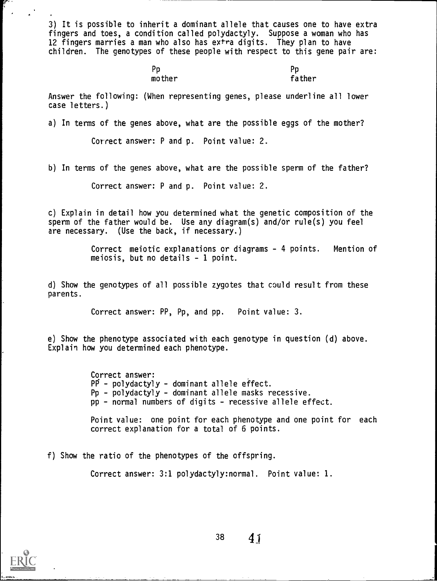3) It is possible to inherit a dominant allele that causes one to have extra fingers and toes, a condition called polydactyly. Suppose a woman who has 12 fingers marries a man who also has extra digits. They plan to have children. The genotypes of these people with respect to this gene pair are:

| Pp     | Pp     |
|--------|--------|
| mother | father |

Answer the following: (When representing genes, please underline all lower case letters.)

a) In terms of the genes above, what are the possible eggs of the mother?

Correct answer: P and p. Point value: 2.

b) In terms of the genes above, what are the possible sperm of the father?

Correct answer: P and p. Point value: 2.

c) Explain in detail how you determined what the genetic composition of the sperm of the father would be. Use any diagram(s) and/or rule(s) you feel are necessary. (Use the back, if necessary.)

> Correct meiotic explanations or diagrams - 4 points. Mention of meiosis, but no details - 1 point.

d) Show the genotypes of all possible zygotes that could result from these parents.

Correct answer: PP, Pp, and pp. Point value: 3.

e) Show the phenotype associated with each genotype in question (d) above. Explain how you determined each phenotype.

> Correct answer: PP - polydactyly - dominant allele effect. Pp - polydactyly - dominant allele masks recessive. pp - normal numbers of digits - recessive allele effect.

Point value: one point for each phenotype and one point for each correct explanation for a total of 6 points.

f) Show the ratio of the phenotypes of the offspring.

Correct answer: 3:1 polydactyly:normal. Point value: 1.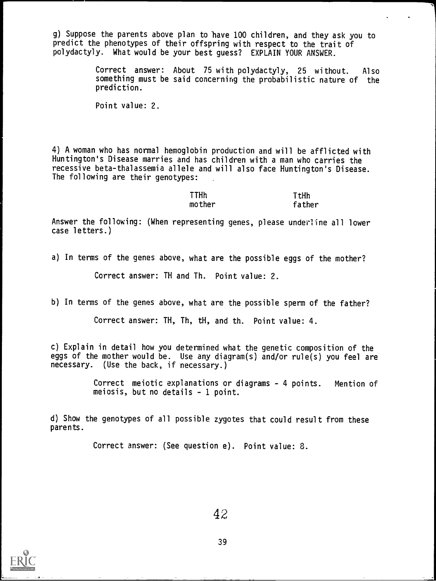g) Suppose the parents above plan to have 100 children, and they ask you to predict the phenotypes of their offspring with respect to the trait of polydactyly. What would be your best guess? EXPLAIN YOUR ANSWER.

> Correct answer: About 75 with polydactyly, 25 without. Also something must be said concerning the probabilistic nature of the prediction.

Point value: 2.

4) A woman who has normal hemoglobin production and will be afflicted with Huntington's Disease marries and has children with a man who carries the recessive beta-thalassemia allele and will also face Huntington's Disease. The following are their genotypes:

> TTHh TtHh mother father

Answer the following: (When representing genes, please underline all lower case letters.)

a) In terms of the genes above, what are the possible eggs of the mother?

Correct answer: TH and Th. Point value: 2.

b) In terms of the genes above, what are the possible sperm of the father?

Correct answer: TH, Th, tH, and th. Point value: 4.

c) Explain in detail how you determined what the genetic composition of the eggs of the mother would be. Use any diagram(s) and/or rule(s) you feel are necessary. (Use the back, if necessary.)

> Correct meiotic explanations or diagrams - 4 points. Mention of meiosis, but no details - 1 point.

d) Show the genotypes of all possible zygotes that could result from these parents.

Correct answer: (See question e). Point value: 8.

42

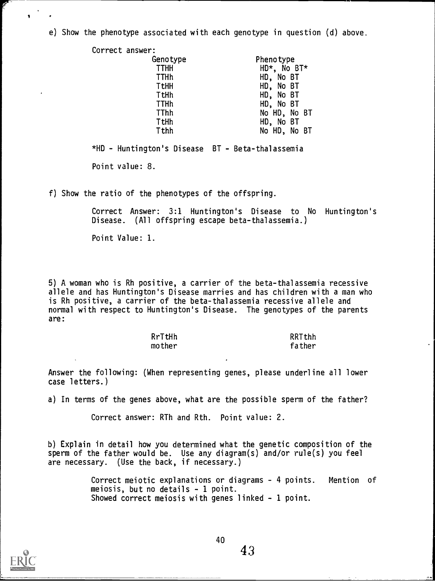e) Show the phenotype associated with each genotype in question (d) above.

| Correct answer: |              |
|-----------------|--------------|
| Genotype        | Phenotype    |
| <b>TTHH</b>     | HD*, No BT*  |
| <b>TTHh</b>     | HD, No BT    |
| <b>TtHH</b>     | HD, No BT    |
| TtHh            | HD, No BT    |
| <b>TTHh</b>     | HD, No BT    |
| TThh            | No HD, No BT |
| TtHh            | HD, No BT    |
| Tthh            | No HD, No BT |

\*HD - Huntington's Disease BT - Beta-thalassemia Point value: 8.

f) Show the ratio of the phenotypes of the offspring.

Correct Answer: 3:1 Huntington's Disease to No Huntington's Disease. (All offspring escape beta-thalassemia.)

Point Value: 1.

5) A woman who is Rh positive, a carrier of the beta-thalassemia recessive allele and has Huntington's Disease marries and has children with a man who is Rh positive, a carrier of the beta-thalassemia recessive allele and normal with respect to Huntington's Disease. The genotypes of the parents are:

| RrTtHh | RRTthh |
|--------|--------|
| mother | father |

Answer the following: (When representing genes, please underline all lower case letters.)

a) In terms of the genes above, what are the possible sperm of the father?

Correct answer: RTh and Rth. Point value: 2.

b) Explain in detail how you determined what the genetic composition of the sperm of the father would be. Use any diagram(s) and/or rule(s) you feel are necessary. (Use the back, if necessary.)

> Correct meiotic explanations or diagrams - 4 points. Mention of meiosis, but no details - 1 point. Showed correct meiosis with genes linked - 1 point.



 $\mathbf{1}$